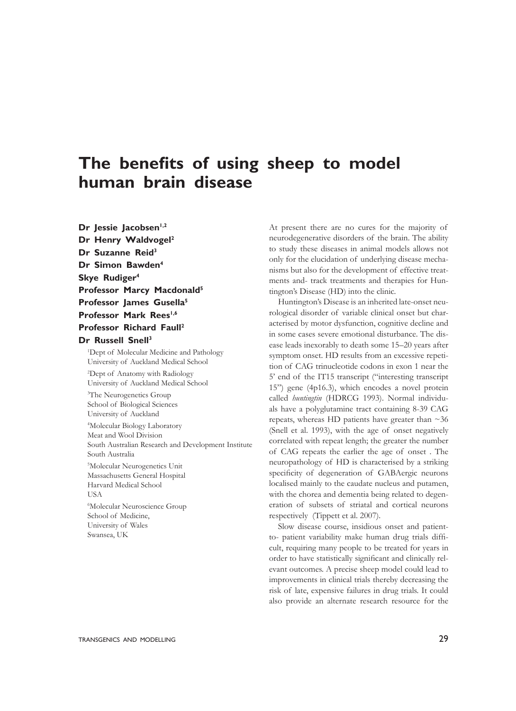## **The benefits of using sheep to model human brain disease**

**Dr Jessie Jacobsen1,2 Dr Henry Waldvogel<sup>2</sup> Dr Suzanne Reid<sup>3</sup> Dr Simon Bawden<sup>4</sup> Skye Rudiger<sup>4</sup> Professor Marcy Macdonald<sup>5</sup> Professor James Gusella<sup>5</sup> Professor Mark Rees1,6 Professor Richard Faull<sup>2</sup> Dr Russell Snell<sup>3</sup>**

<sup>1</sup>Dept of Molecular Medicine and Pathology University of Auckland Medical School 2 Dept of Anatomy with Radiology University of Auckland Medical School 3 The Neurogenetics Group School of Biological Sciences University of Auckland 4 Molecular Biology Laboratory Meat and Wool Division South Australian Research and Development Institute South Australia 5 Molecular Neurogenetics Unit Massachusetts General Hospital Harvard Medical School USA 6 Molecular Neuroscience Group School of Medicine, University of Wales Swansea, UK

At present there are no cures for the majority of neurodegenerative disorders of the brain. The ability to study these diseases in animal models allows not only for the elucidation of underlying disease mechanisms but also for the development of effective treatments and- track treatments and therapies for Huntington's Disease (HD) into the clinic.

Huntington's Disease is an inherited late-onset neurological disorder of variable clinical onset but characterised by motor dysfunction, cognitive decline and in some cases severe emotional disturbance. The disease leads inexorably to death some 15–20 years after symptom onset. HD results from an excessive repetition of CAG trinucleotide codons in exon 1 near the 5' end of the IT15 transcript ("interesting transcript 15") gene (4p16.3), which encodes a novel protein called *huntingtin* (HDRCG 1993). Normal individuals have a polyglutamine tract containing 8-39 CAG repeats, whereas HD patients have greater than  $\sim$ 36 (Snell et al. 1993), with the age of onset negatively correlated with repeat length; the greater the number of CAG repeats the earlier the age of onset . The neuropathology of HD is characterised by a striking specificity of degeneration of GABAergic neurons localised mainly to the caudate nucleus and putamen, with the chorea and dementia being related to degeneration of subsets of striatal and cortical neurons respectively (Tippett et al. 2007).

Slow disease course, insidious onset and patientto- patient variability make human drug trials difficult, requiring many people to be treated for years in order to have statistically significant and clinically relevant outcomes. A precise sheep model could lead to improvements in clinical trials thereby decreasing the risk of late, expensive failures in drug trials. It could also provide an alternate research resource for the